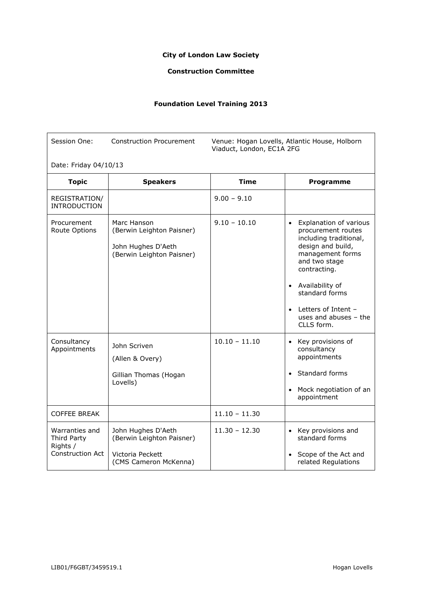## **City of London Law Society**

## **Construction Committee**

## **Foundation Level Training 2013**

| Session One:                                                  | <b>Construction Procurement</b>                                                              | Venue: Hogan Lovells, Atlantic House, Holborn<br>Viaduct, London, EC1A 2FG |                                                                                                                                                                                                                                                                      |  |
|---------------------------------------------------------------|----------------------------------------------------------------------------------------------|----------------------------------------------------------------------------|----------------------------------------------------------------------------------------------------------------------------------------------------------------------------------------------------------------------------------------------------------------------|--|
| Date: Friday 04/10/13                                         |                                                                                              |                                                                            |                                                                                                                                                                                                                                                                      |  |
| <b>Topic</b>                                                  | <b>Speakers</b>                                                                              | <b>Time</b>                                                                | Programme                                                                                                                                                                                                                                                            |  |
| REGISTRATION/<br><b>INTRODUCTION</b>                          |                                                                                              | $9.00 - 9.10$                                                              |                                                                                                                                                                                                                                                                      |  |
| Procurement<br>Route Options                                  | Marc Hanson<br>(Berwin Leighton Paisner)<br>John Hughes D'Aeth<br>(Berwin Leighton Paisner)  | $9.10 - 10.10$                                                             | • Explanation of various<br>procurement routes<br>including traditional,<br>design and build,<br>management forms<br>and two stage<br>contracting.<br>• Availability of<br>standard forms<br>Letters of Intent –<br>$\bullet$<br>uses and abuses - the<br>CLLS form. |  |
| Consultancy<br>Appointments                                   | John Scriven<br>(Allen & Overy)<br>Gillian Thomas (Hogan<br>Lovells)                         | $10.10 - 11.10$                                                            | • Key provisions of<br>consultancy<br>appointments<br>• Standard forms<br>• Mock negotiation of an<br>appointment                                                                                                                                                    |  |
| <b>COFFEE BREAK</b>                                           |                                                                                              | $11.10 - 11.30$                                                            |                                                                                                                                                                                                                                                                      |  |
| Warranties and<br>Third Party<br>Rights /<br>Construction Act | John Hughes D'Aeth<br>(Berwin Leighton Paisner)<br>Victoria Peckett<br>(CMS Cameron McKenna) | $11.30 - 12.30$                                                            | • Key provisions and<br>standard forms<br>Scope of the Act and<br>related Regulations                                                                                                                                                                                |  |